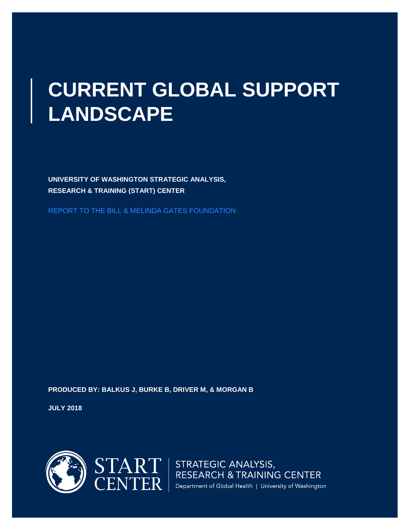# **CURRENT GLOBAL SUPPORT LANDSCAPE**

**UNIVERSITY OF WASHINGTON STRATEGIC ANALYSIS, RESEARCH & TRAINING (START) CENTER** 

REPORT TO THE BILL & MELINDA GATES FOUNDATION

**PRODUCED BY: BALKUS J, BURKE B, DRIVER M, & MORGAN B**

**JULY 2018**



 $\text{STAR} \leftarrow \text{STRATEGIC ANALYSIS}, \\ \text{CENTER} \left\{ \begin{array}{l} \text{STRATEGIC ANALYSIS}, \\ \text{RESEARCH & TRAINING CENTER} \\ \text{Department of Global Health | University of Washington} \end{array} \right.$ Department of Global Health | University of Washington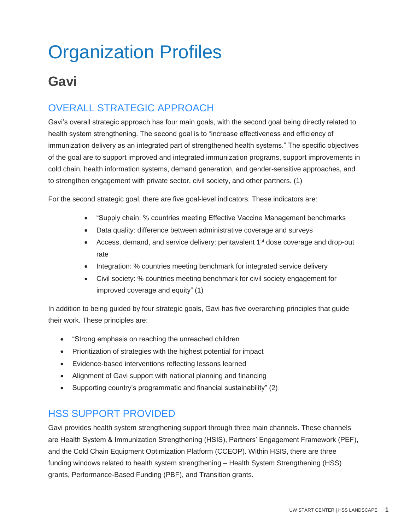# Organization Profiles

# **Gavi**

## OVERALL STRATEGIC APPROACH

Gavi's overall strategic approach has four main goals, with the second goal being directly related to health system strengthening. The second goal is to "increase effectiveness and efficiency of immunization delivery as an integrated part of strengthened health systems." The specific objectives of the goal are to support improved and integrated immunization programs, support improvements in cold chain, health information systems, demand generation, and gender-sensitive approaches, and to strengthen engagement with private sector, civil society, and other partners. (1)

For the second strategic goal, there are five goal-level indicators. These indicators are:

- "Supply chain: % countries meeting Effective Vaccine Management benchmarks
- Data quality: difference between administrative coverage and surveys
- Access, demand, and service delivery: pentavalent 1<sup>st</sup> dose coverage and drop-out rate
- Integration: % countries meeting benchmark for integrated service delivery
- Civil society: % countries meeting benchmark for civil society engagement for improved coverage and equity" (1)

In addition to being guided by four strategic goals, Gavi has five overarching principles that guide their work. These principles are:

- "Strong emphasis on reaching the unreached children
- Prioritization of strategies with the highest potential for impact
- Evidence-based interventions reflecting lessons learned
- Alignment of Gavi support with national planning and financing
- Supporting country's programmatic and financial sustainability" (2)

### HSS SUPPORT PROVIDED

Gavi provides health system strengthening support through three main channels. These channels are Health System & Immunization Strengthening (HSIS), Partners' Engagement Framework (PEF), and the Cold Chain Equipment Optimization Platform (CCEOP). Within HSIS, there are three funding windows related to health system strengthening – Health System Strengthening (HSS) grants, Performance-Based Funding (PBF), and Transition grants.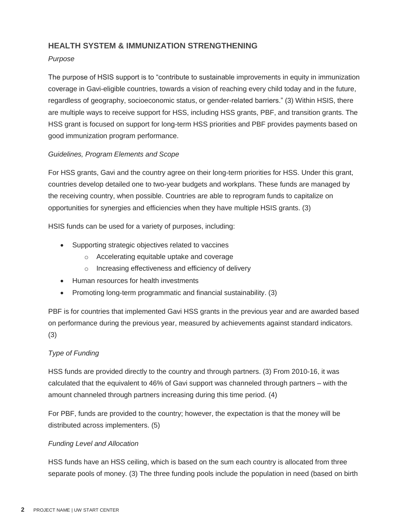#### **HEALTH SYSTEM & IMMUNIZATION STRENGTHENING**

#### *Purpose*

The purpose of HSIS support is to "contribute to sustainable improvements in equity in immunization coverage in Gavi-eligible countries, towards a vision of reaching every child today and in the future, regardless of geography, socioeconomic status, or gender-related barriers." (3) Within HSIS, there are multiple ways to receive support for HSS, including HSS grants, PBF, and transition grants. The HSS grant is focused on support for long-term HSS priorities and PBF provides payments based on good immunization program performance.

#### *Guidelines, Program Elements and Scope*

For HSS grants, Gavi and the country agree on their long-term priorities for HSS. Under this grant, countries develop detailed one to two-year budgets and workplans. These funds are managed by the receiving country, when possible. Countries are able to reprogram funds to capitalize on opportunities for synergies and efficiencies when they have multiple HSIS grants. (3)

HSIS funds can be used for a variety of purposes, including:

- Supporting strategic objectives related to vaccines
	- o Accelerating equitable uptake and coverage
	- o Increasing effectiveness and efficiency of delivery
- Human resources for health investments
- Promoting long-term programmatic and financial sustainability. (3)

PBF is for countries that implemented Gavi HSS grants in the previous year and are awarded based on performance during the previous year, measured by achievements against standard indicators. (3)

#### *Type of Funding*

HSS funds are provided directly to the country and through partners. (3) From 2010-16, it was calculated that the equivalent to 46% of Gavi support was channeled through partners – with the amount channeled through partners increasing during this time period. (4)

For PBF, funds are provided to the country; however, the expectation is that the money will be distributed across implementers. (5)

#### *Funding Level and Allocation*

HSS funds have an HSS ceiling, which is based on the sum each country is allocated from three separate pools of money. (3) The three funding pools include the population in need (based on birth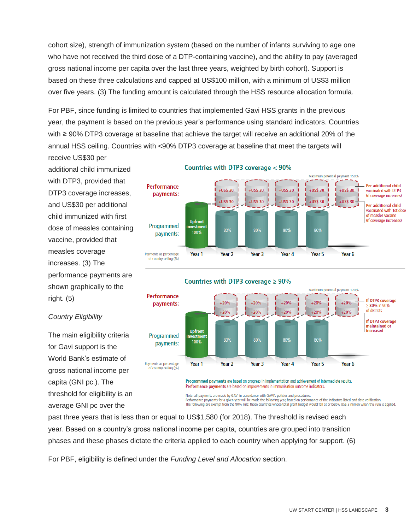cohort size), strength of immunization system (based on the number of infants surviving to age one who have not received the third dose of a DTP-containing vaccine), and the ability to pay (averaged gross national income per capita over the last three years, weighted by birth cohort). Support is based on these three calculations and capped at US\$100 million, with a minimum of US\$3 million over five years. (3) The funding amount is calculated through the HSS resource allocation formula.

For PBF, since funding is limited to countries that implemented Gavi HSS grants in the previous year, the payment is based on the previous year's performance using standard indicators. Countries with ≥ 90% DTP3 coverage at baseline that achieve the target will receive an additional 20% of the annual HSS ceiling. Countries with <90% DTP3 coverage at baseline that meet the targets will receive US\$30 per

additional child immunized with DTP3, provided that DTP3 coverage increases, and US\$30 per additional child immunized with first dose of measles containing vaccine, provided that measles coverage increases. (3) The performance payments are shown graphically to the right. (5)

*Country Eligibility*

The main eligibility criteria for Gavi support is the World Bank's estimate of gross national income per

capita (GNI pc.). The

threshold for eligibility is an average GNI pc over the



#### Countries with DTP3 coverage < 90%



Performance payments are based on improvements in immunisation outcome indicators.

Note: all payments are made by GAVI in accordance with GAVI's policies and procedures. For the matter of the state of the state of the state of the state of the indicators listed and data verification.<br>The formance payments for a given year will be made the following year, based on performance of the indicat

past three years that is less than or equal to US\$1,580 (for 2018). The threshold is revised each year. Based on a country's gross national income per capita, countries are grouped into transition phases and these phases dictate the criteria applied to each country when applying for support. (6)

For PBF, eligibility is defined under the *Funding Level and Allocation* section.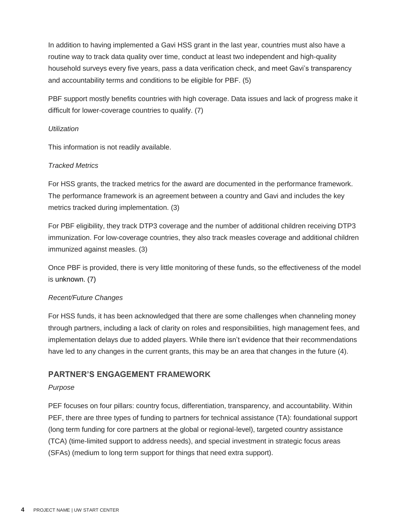In addition to having implemented a Gavi HSS grant in the last year, countries must also have a routine way to track data quality over time, conduct at least two independent and high-quality household surveys every five years, pass a data verification check, and meet Gavi's transparency and accountability terms and conditions to be eligible for PBF. (5)

PBF support mostly benefits countries with high coverage. Data issues and lack of progress make it difficult for lower-coverage countries to qualify. (7)

#### *Utilization*

This information is not readily available.

#### *Tracked Metrics*

For HSS grants, the tracked metrics for the award are documented in the performance framework. The performance framework is an agreement between a country and Gavi and includes the key metrics tracked during implementation. (3)

For PBF eligibility, they track DTP3 coverage and the number of additional children receiving DTP3 immunization. For low-coverage countries, they also track measles coverage and additional children immunized against measles. (3)

Once PBF is provided, there is very little monitoring of these funds, so the effectiveness of the model is unknown. (7)

#### *Recent/Future Changes*

For HSS funds, it has been acknowledged that there are some challenges when channeling money through partners, including a lack of clarity on roles and responsibilities, high management fees, and implementation delays due to added players. While there isn't evidence that their recommendations have led to any changes in the current grants, this may be an area that changes in the future (4).

#### **PARTNER'S ENGAGEMENT FRAMEWORK**

#### *Purpose*

PEF focuses on four pillars: country focus, differentiation, transparency, and accountability. Within PEF, there are three types of funding to partners for technical assistance (TA): foundational support (long term funding for core partners at the global or regional-level), targeted country assistance (TCA) (time-limited support to address needs), and special investment in strategic focus areas (SFAs) (medium to long term support for things that need extra support).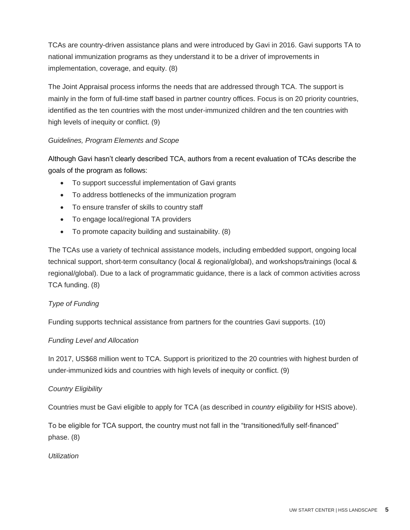TCAs are country-driven assistance plans and were introduced by Gavi in 2016. Gavi supports TA to national immunization programs as they understand it to be a driver of improvements in implementation, coverage, and equity. (8)

The Joint Appraisal process informs the needs that are addressed through TCA. The support is mainly in the form of full-time staff based in partner country offices. Focus is on 20 priority countries, identified as the ten countries with the most under-immunized children and the ten countries with high levels of inequity or conflict. (9)

#### *Guidelines, Program Elements and Scope*

Although Gavi hasn't clearly described TCA, authors from a recent evaluation of TCAs describe the goals of the program as follows:

- To support successful implementation of Gavi grants
- To address bottlenecks of the immunization program
- To ensure transfer of skills to country staff
- To engage local/regional TA providers
- To promote capacity building and sustainability. (8)

The TCAs use a variety of technical assistance models, including embedded support, ongoing local technical support, short-term consultancy (local & regional/global), and workshops/trainings (local & regional/global). Due to a lack of programmatic guidance, there is a lack of common activities across TCA funding. (8)

#### *Type of Funding*

Funding supports technical assistance from partners for the countries Gavi supports. (10)

#### *Funding Level and Allocation*

In 2017, US\$68 million went to TCA. Support is prioritized to the 20 countries with highest burden of under-immunized kids and countries with high levels of inequity or conflict. (9)

#### *Country Eligibility*

Countries must be Gavi eligible to apply for TCA (as described in *country eligibility* for HSIS above).

To be eligible for TCA support, the country must not fall in the "transitioned/fully self-financed" phase. (8)

#### *Utilization*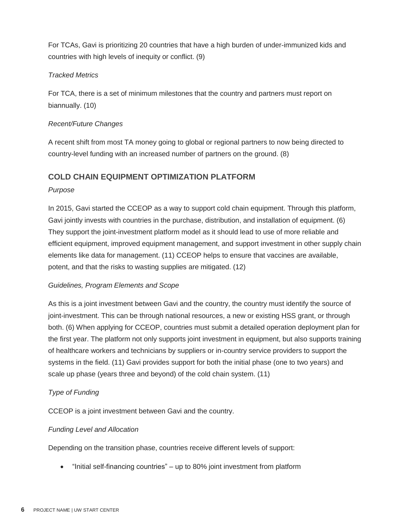For TCAs, Gavi is prioritizing 20 countries that have a high burden of under-immunized kids and countries with high levels of inequity or conflict. (9)

#### *Tracked Metrics*

For TCA, there is a set of minimum milestones that the country and partners must report on biannually. (10)

#### *Recent/Future Changes*

A recent shift from most TA money going to global or regional partners to now being directed to country-level funding with an increased number of partners on the ground. (8)

#### **COLD CHAIN EQUIPMENT OPTIMIZATION PLATFORM**

#### *Purpose*

In 2015, Gavi started the CCEOP as a way to support cold chain equipment. Through this platform, Gavi jointly invests with countries in the purchase, distribution, and installation of equipment. (6) They support the joint-investment platform model as it should lead to use of more reliable and efficient equipment, improved equipment management, and support investment in other supply chain elements like data for management. (11) CCEOP helps to ensure that vaccines are available, potent, and that the risks to wasting supplies are mitigated. (12)

#### *Guidelines, Program Elements and Scope*

As this is a joint investment between Gavi and the country, the country must identify the source of joint-investment. This can be through national resources, a new or existing HSS grant, or through both. (6) When applying for CCEOP, countries must submit a detailed operation deployment plan for the first year. The platform not only supports joint investment in equipment, but also supports training of healthcare workers and technicians by suppliers or in-country service providers to support the systems in the field. (11) Gavi provides support for both the initial phase (one to two years) and scale up phase (years three and beyond) of the cold chain system. (11)

#### *Type of Funding*

CCEOP is a joint investment between Gavi and the country.

#### *Funding Level and Allocation*

Depending on the transition phase, countries receive different levels of support:

• "Initial self-financing countries" – up to 80% joint investment from platform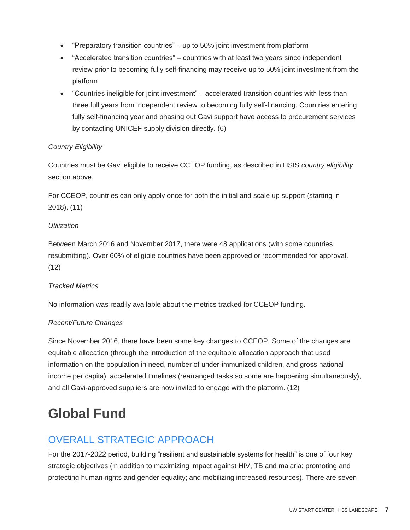- "Preparatory transition countries" up to 50% joint investment from platform
- "Accelerated transition countries" countries with at least two years since independent review prior to becoming fully self-financing may receive up to 50% joint investment from the platform
- "Countries ineligible for joint investment" accelerated transition countries with less than three full years from independent review to becoming fully self-financing. Countries entering fully self-financing year and phasing out Gavi support have access to procurement services by contacting UNICEF supply division directly. (6)

#### *Country Eligibility*

Countries must be Gavi eligible to receive CCEOP funding, as described in HSIS *country eligibility* section above.

For CCEOP, countries can only apply once for both the initial and scale up support (starting in 2018). (11)

#### *Utilization*

Between March 2016 and November 2017, there were 48 applications (with some countries resubmitting). Over 60% of eligible countries have been approved or recommended for approval. (12)

#### *Tracked Metrics*

No information was readily available about the metrics tracked for CCEOP funding.

#### *Recent/Future Changes*

Since November 2016, there have been some key changes to CCEOP. Some of the changes are equitable allocation (through the introduction of the equitable allocation approach that used information on the population in need, number of under-immunized children, and gross national income per capita), accelerated timelines (rearranged tasks so some are happening simultaneously), and all Gavi-approved suppliers are now invited to engage with the platform. (12)

# **Global Fund**

## OVERALL STRATEGIC APPROACH

For the 2017-2022 period, building "resilient and sustainable systems for health" is one of four key strategic objectives (in addition to maximizing impact against HIV, TB and malaria; promoting and protecting human rights and gender equality; and mobilizing increased resources). There are seven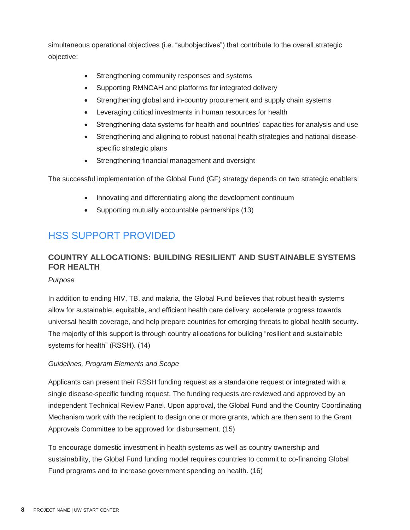simultaneous operational objectives (i.e. "subobjectives") that contribute to the overall strategic objective:

- Strengthening community responses and systems
- Supporting RMNCAH and platforms for integrated delivery
- Strengthening global and in-country procurement and supply chain systems
- Leveraging critical investments in human resources for health
- Strengthening data systems for health and countries' capacities for analysis and use
- Strengthening and aligning to robust national health strategies and national diseasespecific strategic plans
- Strengthening financial management and oversight

The successful implementation of the Global Fund (GF) strategy depends on two strategic enablers:

- Innovating and differentiating along the development continuum
- Supporting mutually accountable partnerships (13)

## HSS SUPPORT PROVIDED

### **COUNTRY ALLOCATIONS: BUILDING RESILIENT AND SUSTAINABLE SYSTEMS FOR HEALTH**

*Purpose*

In addition to ending HIV, TB, and malaria, the Global Fund believes that robust health systems allow for sustainable, equitable, and efficient health care delivery, accelerate progress towards universal health coverage, and help prepare countries for emerging threats to global health security. The majority of this support is through country allocations for building "resilient and sustainable systems for health" (RSSH). (14)

#### *Guidelines, Program Elements and Scope*

Applicants can present their RSSH funding request as a standalone request or integrated with a single disease-specific funding request. The funding requests are reviewed and approved by an independent Technical Review Panel. Upon approval, the Global Fund and the Country Coordinating Mechanism work with the recipient to design one or more grants, which are then sent to the Grant Approvals Committee to be approved for disbursement. (15)

To encourage domestic investment in health systems as well as country ownership and sustainability, the Global Fund funding model requires countries to commit to co-financing Global Fund programs and to increase government spending on health. (16)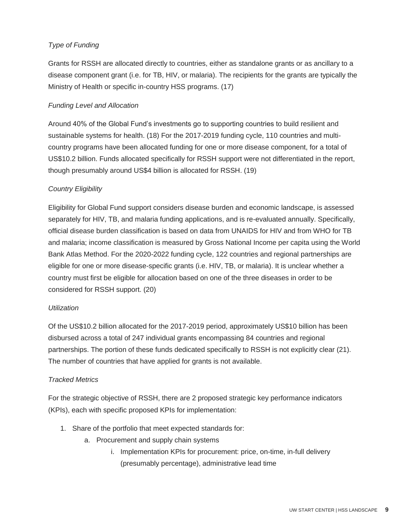#### *Type of Funding*

Grants for RSSH are allocated directly to countries, either as standalone grants or as ancillary to a disease component grant (i.e. for TB, HIV, or malaria). The recipients for the grants are typically the Ministry of Health or specific in-country HSS programs. (17)

#### *Funding Level and Allocation*

Around 40% of the Global Fund's investments go to supporting countries to build resilient and sustainable systems for health. (18) For the 2017-2019 funding cycle, 110 countries and multicountry programs have been allocated funding for one or more disease component, for a total of US\$10.2 billion. Funds allocated specifically for RSSH support were not differentiated in the report, though presumably around US\$4 billion is allocated for RSSH. (19)

#### *Country Eligibility*

Eligibility for Global Fund support considers disease burden and economic landscape, is assessed separately for HIV, TB, and malaria funding applications, and is re-evaluated annually. Specifically, official disease burden classification is based on data from UNAIDS for HIV and from WHO for TB and malaria; income classification is measured by Gross National Income per capita using the World Bank Atlas Method. For the 2020-2022 funding cycle, 122 countries and regional partnerships are eligible for one or more disease-specific grants (i.e. HIV, TB, or malaria). It is unclear whether a country must first be eligible for allocation based on one of the three diseases in order to be considered for RSSH support. (20)

#### *Utilization*

Of the US\$10.2 billion allocated for the 2017-2019 period, approximately US\$10 billion has been disbursed across a total of 247 individual grants encompassing 84 countries and regional partnerships. The portion of these funds dedicated specifically to RSSH is not explicitly clear (21). The number of countries that have applied for grants is not available.

#### *Tracked Metrics*

For the strategic objective of RSSH, there are 2 proposed strategic key performance indicators (KPIs), each with specific proposed KPIs for implementation:

- 1. Share of the portfolio that meet expected standards for:
	- a. Procurement and supply chain systems
		- i. Implementation KPIs for procurement: price, on-time, in-full delivery (presumably percentage), administrative lead time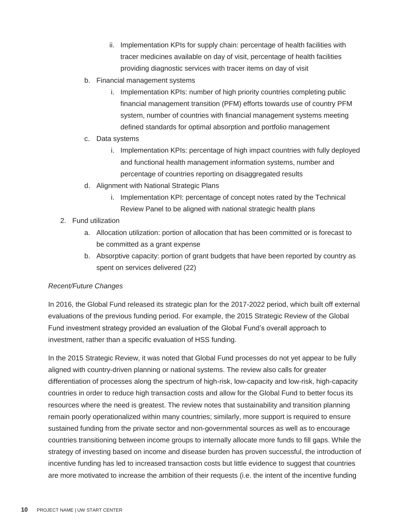- ii. Implementation KPIs for supply chain: percentage of health facilities with tracer medicines available on day of visit, percentage of health facilities providing diagnostic services with tracer items on day of visit
- b. Financial management systems
	- i. Implementation KPIs: number of high priority countries completing public financial management transition (PFM) efforts towards use of country PFM system, number of countries with financial management systems meeting defined standards for optimal absorption and portfolio management
- c. Data systems
	- i. Implementation KPIs: percentage of high impact countries with fully deployed and functional health management information systems, number and percentage of countries reporting on disaggregated results
- d. Alignment with National Strategic Plans
	- i. Implementation KPI: percentage of concept notes rated by the Technical Review Panel to be aligned with national strategic health plans
- 2. Fund utilization
	- a. Allocation utilization: portion of allocation that has been committed or is forecast to be committed as a grant expense
	- b. Absorptive capacity: portion of grant budgets that have been reported by country as spent on services delivered (22)

#### *Recent/Future Changes*

In 2016, the Global Fund released its strategic plan for the 2017-2022 period, which built off external evaluations of the previous funding period. For example, the 2015 Strategic Review of the Global Fund investment strategy provided an evaluation of the Global Fund's overall approach to investment, rather than a specific evaluation of HSS funding.

In the 2015 Strategic Review, it was noted that Global Fund processes do not yet appear to be fully aligned with country-driven planning or national systems. The review also calls for greater differentiation of processes along the spectrum of high-risk, low-capacity and low-risk, high-capacity countries in order to reduce high transaction costs and allow for the Global Fund to better focus its resources where the need is greatest. The review notes that sustainability and transition planning remain poorly operationalized within many countries; similarly, more support is required to ensure sustained funding from the private sector and non-governmental sources as well as to encourage countries transitioning between income groups to internally allocate more funds to fill gaps. While the strategy of investing based on income and disease burden has proven successful, the introduction of incentive funding has led to increased transaction costs but little evidence to suggest that countries are more motivated to increase the ambition of their requests (i.e. the intent of the incentive funding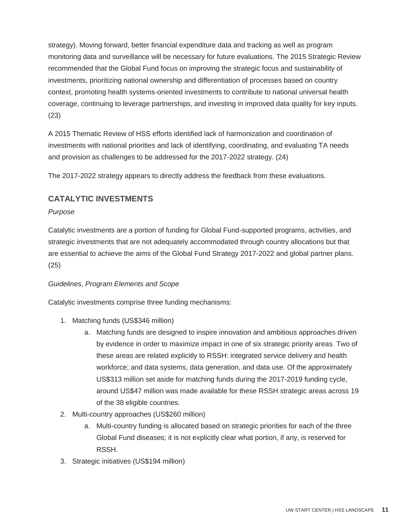strategy). Moving forward, better financial expenditure data and tracking as well as program monitoring data and surveillance will be necessary for future evaluations. The 2015 Strategic Review recommended that the Global Fund focus on improving the strategic focus and sustainability of investments, prioritizing national ownership and differentiation of processes based on country context, promoting health systems-oriented investments to contribute to national universal health coverage, continuing to leverage partnerships, and investing in improved data quality for key inputs. (23)

A 2015 Thematic Review of HSS efforts identified lack of harmonization and coordination of investments with national priorities and lack of identifying, coordinating, and evaluating TA needs and provision as challenges to be addressed for the 2017-2022 strategy. (24)

The 2017-2022 strategy appears to directly address the feedback from these evaluations.

#### **CATALYTIC INVESTMENTS**

#### *Purpose*

Catalytic investments are a portion of funding for Global Fund-supported programs, activities, and strategic investments that are not adequately accommodated through country allocations but that are essential to achieve the aims of the Global Fund Strategy 2017-2022 and global partner plans. (25)

#### *Guidelines, Program Elements and Scope*

Catalytic investments comprise three funding mechanisms:

- 1. Matching funds (US\$346 million)
	- a. Matching funds are designed to inspire innovation and ambitious approaches driven by evidence in order to maximize impact in one of six strategic priority areas. Two of these areas are related explicitly to RSSH: integrated service delivery and health workforce; and data systems, data generation, and data use. Of the approximately US\$313 million set aside for matching funds during the 2017-2019 funding cycle, around US\$47 million was made available for these RSSH strategic areas across 19 of the 38 eligible countries.
- 2. Multi-country approaches (US\$260 million)
	- a. Multi-country funding is allocated based on strategic priorities for each of the three Global Fund diseases; it is not explicitly clear what portion, if any, is reserved for RSSH.
- 3. Strategic initiatives (US\$194 million)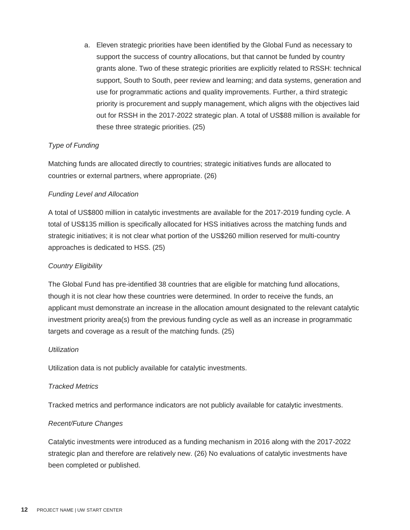a. Eleven strategic priorities have been identified by the Global Fund as necessary to support the success of country allocations, but that cannot be funded by country grants alone. Two of these strategic priorities are explicitly related to RSSH: technical support, South to South, peer review and learning; and data systems, generation and use for programmatic actions and quality improvements. Further, a third strategic priority is procurement and supply management, which aligns with the objectives laid out for RSSH in the 2017-2022 strategic plan. A total of US\$88 million is available for these three strategic priorities. (25)

#### *Type of Funding*

Matching funds are allocated directly to countries; strategic initiatives funds are allocated to countries or external partners, where appropriate. (26)

#### *Funding Level and Allocation*

A total of US\$800 million in catalytic investments are available for the 2017-2019 funding cycle. A total of US\$135 million is specifically allocated for HSS initiatives across the matching funds and strategic initiatives; it is not clear what portion of the US\$260 million reserved for multi-country approaches is dedicated to HSS. (25)

#### *Country Eligibility*

The Global Fund has pre-identified 38 countries that are eligible for matching fund allocations, though it is not clear how these countries were determined. In order to receive the funds, an applicant must demonstrate an increase in the allocation amount designated to the relevant catalytic investment priority area(s) from the previous funding cycle as well as an increase in programmatic targets and coverage as a result of the matching funds. (25)

#### *Utilization*

Utilization data is not publicly available for catalytic investments.

#### *Tracked Metrics*

Tracked metrics and performance indicators are not publicly available for catalytic investments.

#### *Recent/Future Changes*

Catalytic investments were introduced as a funding mechanism in 2016 along with the 2017-2022 strategic plan and therefore are relatively new. (26) No evaluations of catalytic investments have been completed or published.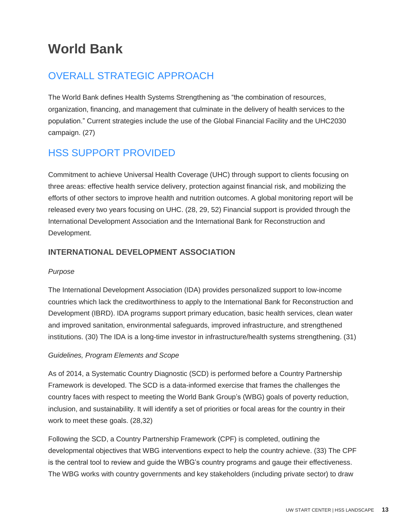# **World Bank**

### OVERALL STRATEGIC APPROACH

The World Bank defines Health Systems Strengthening as "the combination of resources, organization, financing, and management that culminate in the delivery of health services to the population." Current strategies include the use of the Global Financial Facility and the UHC2030 campaign. (27)

### HSS SUPPORT PROVIDED

Commitment to achieve Universal Health Coverage (UHC) through support to clients focusing on three areas: effective health service delivery, protection against financial risk, and mobilizing the efforts of other sectors to improve health and nutrition outcomes. A global monitoring report will be released every two years focusing on UHC. (28, 29, 52) Financial support is provided through the International Development Association and the International Bank for Reconstruction and Development.

#### **INTERNATIONAL DEVELOPMENT ASSOCIATION**

#### *Purpose*

The International Development Association (IDA) provides personalized support to low-income countries which lack the creditworthiness to apply to the International Bank for Reconstruction and Development (IBRD). IDA programs support primary education, basic health services, clean water and improved sanitation, environmental safeguards, improved infrastructure, and strengthened institutions. (30) The IDA is a long-time investor in infrastructure/health systems strengthening. (31)

#### *Guidelines, Program Elements and Scope*

As of 2014, a Systematic Country Diagnostic (SCD) is performed before a Country Partnership Framework is developed. The SCD is a data-informed exercise that frames the challenges the country faces with respect to meeting the World Bank Group's (WBG) goals of poverty reduction, inclusion, and sustainability. It will identify a set of priorities or focal areas for the country in their work to meet these goals. (28,32)

Following the SCD, a Country Partnership Framework (CPF) is completed, outlining the developmental objectives that WBG interventions expect to help the country achieve. (33) The CPF is the central tool to review and guide the WBG's country programs and gauge their effectiveness. The WBG works with country governments and key stakeholders (including private sector) to draw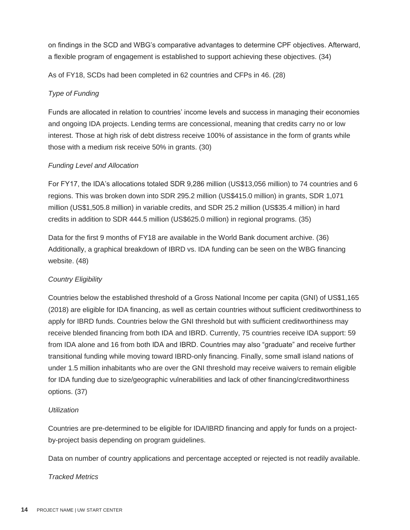on findings in the SCD and WBG's comparative advantages to determine CPF objectives. Afterward, a flexible program of engagement is established to support achieving these objectives. (34)

As of FY18, SCDs had been completed in 62 countries and CFPs in 46. (28)

#### *Type of Funding*

Funds are allocated in relation to countries' income levels and success in managing their economies and ongoing IDA projects. Lending terms are concessional, meaning that credits carry no or low interest. Those at high risk of debt distress receive 100% of assistance in the form of grants while those with a medium risk receive 50% in grants. (30)

#### *Funding Level and Allocation*

For FY17, the IDA's allocations totaled SDR 9,286 million (US\$13,056 million) to 74 countries and 6 regions. This was broken down into SDR 295.2 million (US\$415.0 million) in grants, SDR 1,071 million (US\$1,505.8 million) in variable credits, and SDR 25.2 million (US\$35.4 million) in hard credits in addition to SDR 444.5 million (US\$625.0 million) in regional programs. (35)

Data for the first 9 months of FY18 are available in the World Bank document archive. (36) Additionally, a graphical breakdown of IBRD vs. IDA funding can be seen on the WBG financing website. (48)

#### *Country Eligibility*

Countries below the established threshold of a Gross National Income per capita (GNI) of US\$1,165 (2018) are eligible for IDA financing, as well as certain countries without sufficient creditworthiness to apply for IBRD funds. Countries below the GNI threshold but with sufficient creditworthiness may receive blended financing from both IDA and IBRD. Currently, 75 countries receive IDA support: 59 from IDA alone and 16 from both IDA and IBRD. Countries may also "graduate" and receive further transitional funding while moving toward IBRD-only financing. Finally, some small island nations of under 1.5 million inhabitants who are over the GNI threshold may receive waivers to remain eligible for IDA funding due to size/geographic vulnerabilities and lack of other financing/creditworthiness options. (37)

#### *Utilization*

Countries are pre-determined to be eligible for IDA/IBRD financing and apply for funds on a projectby-project basis depending on program guidelines.

Data on number of country applications and percentage accepted or rejected is not readily available.

#### *Tracked Metrics*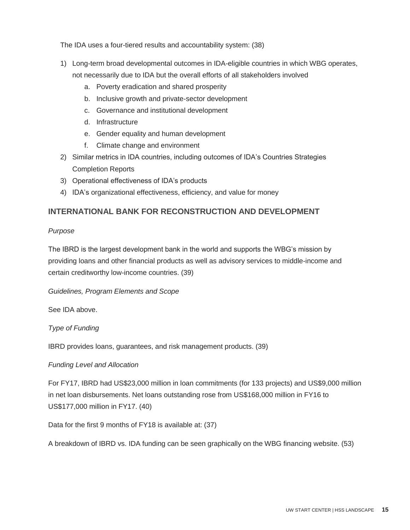The IDA uses a four-tiered results and accountability system: (38)

1) Long-term broad developmental outcomes in IDA-eligible countries in which WBG operates,

not necessarily due to IDA but the overall efforts of all stakeholders involved

- a. Poverty eradication and shared prosperity
- b. Inclusive growth and private-sector development
- c. Governance and institutional development
- d. Infrastructure
- e. Gender equality and human development
- f. Climate change and environment
- 2) Similar metrics in IDA countries, including outcomes of IDA's Countries Strategies Completion Reports
- 3) Operational effectiveness of IDA's products
- 4) IDA's organizational effectiveness, efficiency, and value for money

#### **INTERNATIONAL BANK FOR RECONSTRUCTION AND DEVELOPMENT**

#### *Purpose*

The IBRD is the largest development bank in the world and supports the WBG's mission by providing loans and other financial products as well as advisory services to middle-income and certain creditworthy low-income countries. (39)

*Guidelines, Program Elements and Scope*

See IDA above.

*Type of Funding*

IBRD provides loans, guarantees, and risk management products. (39)

#### *Funding Level and Allocation*

For FY17, IBRD had US\$23,000 million in loan commitments (for 133 projects) and US\$9,000 million in net loan disbursements. Net loans outstanding rose from US\$168,000 million in FY16 to US\$177,000 million in FY17. (40)

Data for the first 9 months of FY18 is available at: (37)

A breakdown of IBRD vs. IDA funding can be seen graphically on the WBG financing website. (53)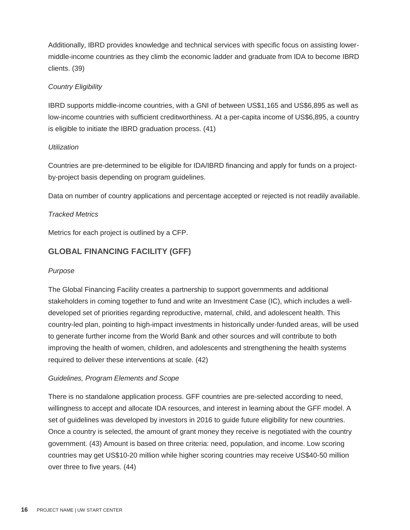Additionally, IBRD provides knowledge and technical services with specific focus on assisting lowermiddle-income countries as they climb the economic ladder and graduate from IDA to become IBRD clients. (39)

#### *Country Eligibility*

IBRD supports middle-income countries, with a GNI of between US\$1,165 and US\$6,895 as well as low-income countries with sufficient creditworthiness. At a per-capita income of US\$6,895, a country is eligible to initiate the IBRD graduation process. (41)

#### *Utilization*

Countries are pre-determined to be eligible for IDA/IBRD financing and apply for funds on a projectby-project basis depending on program guidelines.

Data on number of country applications and percentage accepted or rejected is not readily available.

#### *Tracked Metrics*

Metrics for each project is outlined by a CFP.

#### **GLOBAL FINANCING FACILITY (GFF)**

#### *Purpose*

The Global Financing Facility creates a partnership to support governments and additional stakeholders in coming together to fund and write an Investment Case (IC), which includes a welldeveloped set of priorities regarding reproductive, maternal, child, and adolescent health. This country-led plan, pointing to high-impact investments in historically under-funded areas, will be used to generate further income from the World Bank and other sources and will contribute to both improving the health of women, children, and adolescents and strengthening the health systems required to deliver these interventions at scale. (42)

#### *Guidelines, Program Elements and Scope*

There is no standalone application process. GFF countries are pre-selected according to need, willingness to accept and allocate IDA resources, and interest in learning about the GFF model. A set of guidelines was developed by investors in 2016 to guide future eligibility for new countries. Once a country is selected, the amount of grant money they receive is negotiated with the country government. (43) Amount is based on three criteria: need, population, and income. Low scoring countries may get US\$10-20 million while higher scoring countries may receive US\$40-50 million over three to five years. (44)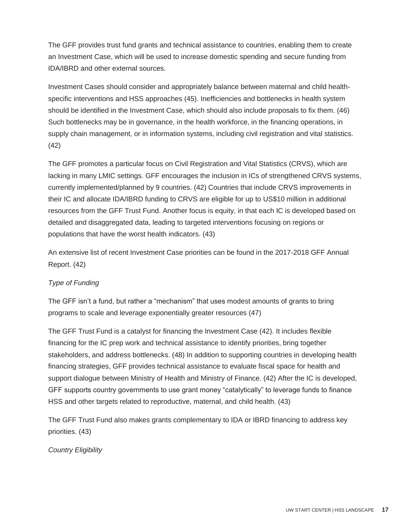The GFF provides trust fund grants and technical assistance to countries, enabling them to create an Investment Case, which will be used to increase domestic spending and secure funding from IDA/IBRD and other external sources.

Investment Cases should consider and appropriately balance between maternal and child healthspecific interventions and HSS approaches (45). Inefficiencies and bottlenecks in health system should be identified in the Investment Case, which should also include proposals to fix them. (46) Such bottlenecks may be in governance, in the health workforce, in the financing operations, in supply chain management, or in information systems, including civil registration and vital statistics. (42)

The GFF promotes a particular focus on Civil Registration and Vital Statistics (CRVS), which are lacking in many LMIC settings. GFF encourages the inclusion in ICs of strengthened CRVS systems, currently implemented/planned by 9 countries. (42) Countries that include CRVS improvements in their IC and allocate IDA/IBRD funding to CRVS are eligible for up to US\$10 million in additional resources from the GFF Trust Fund. Another focus is equity, in that each IC is developed based on detailed and disaggregated data, leading to targeted interventions focusing on regions or populations that have the worst health indicators. (43)

An extensive list of recent Investment Case priorities can be found in the 2017-2018 GFF Annual Report. (42)

#### *Type of Funding*

The GFF isn't a fund, but rather a "mechanism" that uses modest amounts of grants to bring programs to scale and leverage exponentially greater resources (47)

The GFF Trust Fund is a catalyst for financing the Investment Case (42). It includes flexible financing for the IC prep work and technical assistance to identify priorities, bring together stakeholders, and address bottlenecks. (48) In addition to supporting countries in developing health financing strategies, GFF provides technical assistance to evaluate fiscal space for health and support dialogue between Ministry of Health and Ministry of Finance. (42) After the IC is developed, GFF supports country governments to use grant money "catalytically" to leverage funds to finance HSS and other targets related to reproductive, maternal, and child health. (43)

The GFF Trust Fund also makes grants complementary to IDA or IBRD financing to address key priorities. (43)

*Country Eligibility*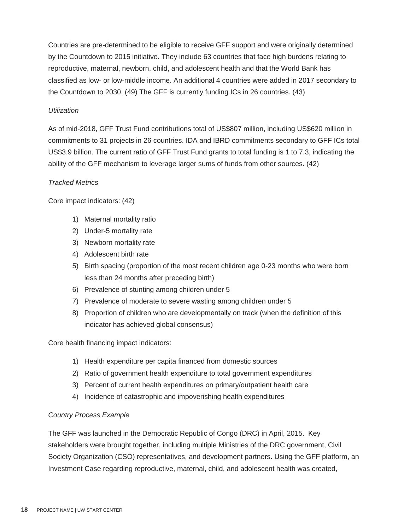Countries are pre-determined to be eligible to receive GFF support and were originally determined by the Countdown to 2015 initiative. They include 63 countries that face high burdens relating to reproductive, maternal, newborn, child, and adolescent health and that the World Bank has classified as low- or low-middle income. An additional 4 countries were added in 2017 secondary to the Countdown to 2030. (49) The GFF is currently funding ICs in 26 countries. (43)

#### *Utilization*

As of mid-2018, GFF Trust Fund contributions total of US\$807 million, including US\$620 million in commitments to 31 projects in 26 countries. IDA and IBRD commitments secondary to GFF ICs total US\$3.9 billion. The current ratio of GFF Trust Fund grants to total funding is 1 to 7.3, indicating the ability of the GFF mechanism to leverage larger sums of funds from other sources. (42)

#### *Tracked Metrics*

Core impact indicators: (42)

- 1) Maternal mortality ratio
- 2) Under-5 mortality rate
- 3) Newborn mortality rate
- 4) Adolescent birth rate
- 5) Birth spacing (proportion of the most recent children age 0-23 months who were born less than 24 months after preceding birth)
- 6) Prevalence of stunting among children under 5
- 7) Prevalence of moderate to severe wasting among children under 5
- 8) Proportion of children who are developmentally on track (when the definition of this indicator has achieved global consensus)

Core health financing impact indicators:

- 1) Health expenditure per capita financed from domestic sources
- 2) Ratio of government health expenditure to total government expenditures
- 3) Percent of current health expenditures on primary/outpatient health care
- 4) Incidence of catastrophic and impoverishing health expenditures

#### *Country Process Example*

The GFF was launched in the Democratic Republic of Congo (DRC) in April, 2015. Key stakeholders were brought together, including multiple Ministries of the DRC government, Civil Society Organization (CSO) representatives, and development partners. Using the GFF platform, an Investment Case regarding reproductive, maternal, child, and adolescent health was created,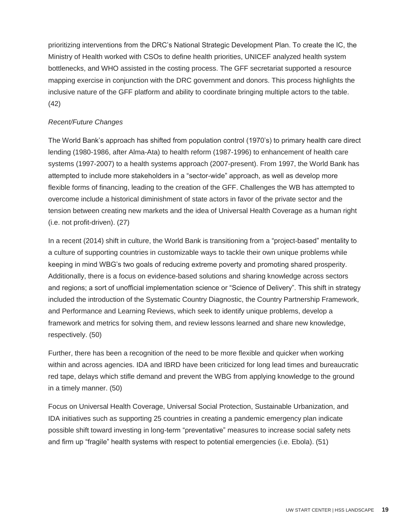prioritizing interventions from the DRC's National Strategic Development Plan. To create the IC, the Ministry of Health worked with CSOs to define health priorities, UNICEF analyzed health system bottlenecks, and WHO assisted in the costing process. The GFF secretariat supported a resource mapping exercise in conjunction with the DRC government and donors. This process highlights the inclusive nature of the GFF platform and ability to coordinate bringing multiple actors to the table. (42)

#### *Recent/Future Changes*

The World Bank's approach has shifted from population control (1970's) to primary health care direct lending (1980-1986, after Alma-Ata) to health reform (1987-1996) to enhancement of health care systems (1997-2007) to a health systems approach (2007-present). From 1997, the World Bank has attempted to include more stakeholders in a "sector-wide" approach, as well as develop more flexible forms of financing, leading to the creation of the GFF. Challenges the WB has attempted to overcome include a historical diminishment of state actors in favor of the private sector and the tension between creating new markets and the idea of Universal Health Coverage as a human right (i.e. not profit-driven). (27)

In a recent (2014) shift in culture, the World Bank is transitioning from a "project-based" mentality to a culture of supporting countries in customizable ways to tackle their own unique problems while keeping in mind WBG's two goals of reducing extreme poverty and promoting shared prosperity. Additionally, there is a focus on evidence-based solutions and sharing knowledge across sectors and regions; a sort of unofficial implementation science or "Science of Delivery". This shift in strategy included the introduction of the Systematic Country Diagnostic, the Country Partnership Framework, and Performance and Learning Reviews, which seek to identify unique problems, develop a framework and metrics for solving them, and review lessons learned and share new knowledge, respectively. (50)

Further, there has been a recognition of the need to be more flexible and quicker when working within and across agencies. IDA and IBRD have been criticized for long lead times and bureaucratic red tape, delays which stifle demand and prevent the WBG from applying knowledge to the ground in a timely manner. (50)

Focus on Universal Health Coverage, Universal Social Protection, Sustainable Urbanization, and IDA initiatives such as supporting 25 countries in creating a pandemic emergency plan indicate possible shift toward investing in long-term "preventative" measures to increase social safety nets and firm up "fragile" health systems with respect to potential emergencies (i.e. Ebola). (51)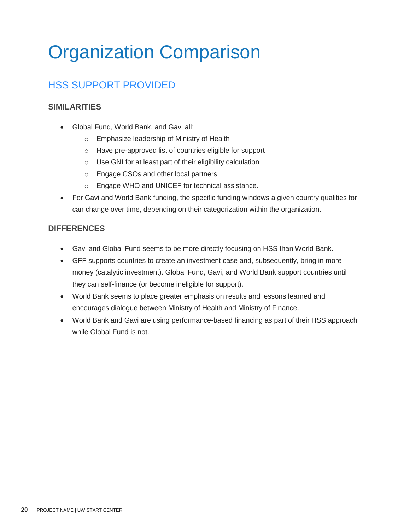# Organization Comparison

# HSS SUPPORT PROVIDED

#### **SIMILARITIES**

- Global Fund, World Bank, and Gavi all:
	- o Emphasize leadership of Ministry of Health
	- o Have pre-approved list of countries eligible for support
	- o Use GNI for at least part of their eligibility calculation
	- o Engage CSOs and other local partners
	- o Engage WHO and UNICEF for technical assistance.
- For Gavi and World Bank funding, the specific funding windows a given country qualities for can change over time, depending on their categorization within the organization.

#### **DIFFERENCES**

- Gavi and Global Fund seems to be more directly focusing on HSS than World Bank.
- GFF supports countries to create an investment case and, subsequently, bring in more money (catalytic investment). Global Fund, Gavi, and World Bank support countries until they can self-finance (or become ineligible for support).
- World Bank seems to place greater emphasis on results and lessons learned and encourages dialogue between Ministry of Health and Ministry of Finance.
- World Bank and Gavi are using performance-based financing as part of their HSS approach while Global Fund is not.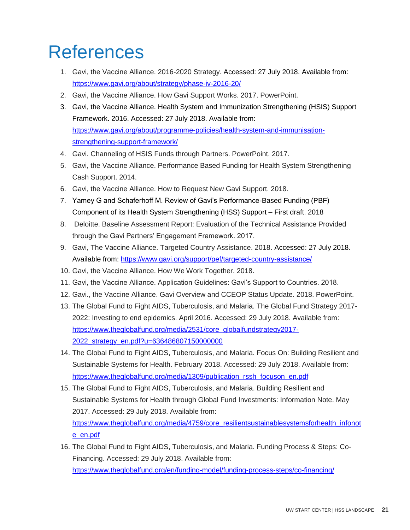# **References**

- 1. Gavi, the Vaccine Alliance. 2016-2020 Strategy. Accessed: 27 July 2018. Available from: <https://www.gavi.org/about/strategy/phase-iv-2016-20/>
- 2. Gavi, the Vaccine Alliance. How Gavi Support Works. 2017. PowerPoint.
- 3. Gavi, the Vaccine Alliance. Health System and Immunization Strengthening (HSIS) Support Framework. 2016. Accessed: 27 July 2018. Available from: [https://www.gavi.org/about/programme-policies/health-system-and-immunisation](https://www.gavi.org/about/programme-policies/health-system-and-immunisation-strengthening-support-framework/)[strengthening-support-framework/](https://www.gavi.org/about/programme-policies/health-system-and-immunisation-strengthening-support-framework/)
- 4. Gavi. Channeling of HSIS Funds through Partners. PowerPoint. 2017.
- 5. Gavi, the Vaccine Alliance. Performance Based Funding for Health System Strengthening Cash Support. 2014.
- 6. Gavi, the Vaccine Alliance. How to Request New Gavi Support. 2018.
- 7. Yamey G and Schaferhoff M. Review of Gavi's Performance-Based Funding (PBF) Component of its Health System Strengthening (HSS) Support – First draft. 2018
- 8. Deloitte. Baseline Assessment Report: Evaluation of the Technical Assistance Provided through the Gavi Partners' Engagement Framework. 2017.
- 9. Gavi, The Vaccine Alliance. Targeted Country Assistance. 2018. Accessed: 27 July 2018. Available from:<https://www.gavi.org/support/pef/targeted-country-assistance/>
- 10. Gavi, the Vaccine Alliance. How We Work Together. 2018.
- 11. Gavi, the Vaccine Alliance. Application Guidelines: Gavi's Support to Countries. 2018.
- 12. Gavi., the Vaccine Alliance. Gavi Overview and CCEOP Status Update. 2018. PowerPoint.
- 13. The Global Fund to Fight AIDS, Tuberculosis, and Malaria. The Global Fund Strategy 2017- 2022: Investing to end epidemics. April 2016. Accessed: 29 July 2018. Available from: [https://www.theglobalfund.org/media/2531/core\\_globalfundstrategy2017-](https://www.theglobalfund.org/media/2531/core_globalfundstrategy2017-2022_strategy_en.pdf?u=636486807150000000) [2022\\_strategy\\_en.pdf?u=636486807150000000](https://www.theglobalfund.org/media/2531/core_globalfundstrategy2017-2022_strategy_en.pdf?u=636486807150000000)
- 14. The Global Fund to Fight AIDS, Tuberculosis, and Malaria. Focus On: Building Resilient and Sustainable Systems for Health. February 2018. Accessed: 29 July 2018. Available from: [https://www.theglobalfund.org/media/1309/publication\\_rssh\\_focuson\\_en.pdf](https://www.theglobalfund.org/media/1309/publication_rssh_focuson_en.pdf)
- 15. The Global Fund to Fight AIDS, Tuberculosis, and Malaria. Building Resilient and Sustainable Systems for Health through Global Fund Investments: Information Note. May 2017. Accessed: 29 July 2018. Available from: [https://www.theglobalfund.org/media/4759/core\\_resilientsustainablesystemsforhealth\\_infonot](https://www.theglobalfund.org/media/4759/core_resilientsustainablesystemsforhealth_infonote_en.pdf) [e\\_en.pdf](https://www.theglobalfund.org/media/4759/core_resilientsustainablesystemsforhealth_infonote_en.pdf)
- 16. The Global Fund to Fight AIDS, Tuberculosis, and Malaria. Funding Process & Steps: Co-Financing. Accessed: 29 July 2018. Available from: <https://www.theglobalfund.org/en/funding-model/funding-process-steps/co-financing/>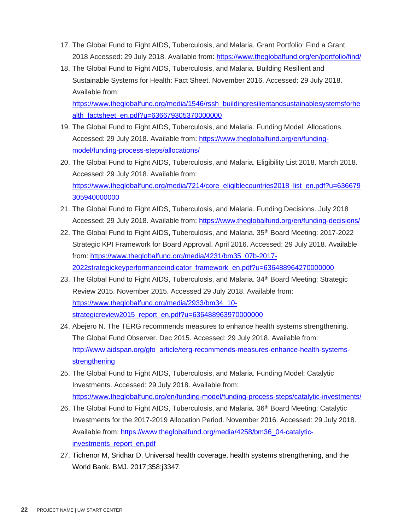- 17. The Global Fund to Fight AIDS, Tuberculosis, and Malaria. Grant Portfolio: Find a Grant. 2018 Accessed: 29 July 2018. Available from:<https://www.theglobalfund.org/en/portfolio/find/>
- 18. The Global Fund to Fight AIDS, Tuberculosis, and Malaria. Building Resilient and Sustainable Systems for Health: Fact Sheet. November 2016. Accessed: 29 July 2018. Available from:

[https://www.theglobalfund.org/media/1546/rssh\\_buildingresilientandsustainablesystemsforhe](https://www.theglobalfund.org/media/1546/rssh_buildingresilientandsustainablesystemsforhealth_factsheet_en.pdf?u=636679305370000000) [alth\\_factsheet\\_en.pdf?u=636679305370000000](https://www.theglobalfund.org/media/1546/rssh_buildingresilientandsustainablesystemsforhealth_factsheet_en.pdf?u=636679305370000000)

- 19. The Global Fund to Fight AIDS, Tuberculosis, and Malaria. Funding Model: Allocations. Accessed: 29 July 2018. Available from: [https://www.theglobalfund.org/en/funding](https://www.theglobalfund.org/en/funding-model/funding-process-steps/allocations/)[model/funding-process-steps/allocations/](https://www.theglobalfund.org/en/funding-model/funding-process-steps/allocations/)
- 20. The Global Fund to Fight AIDS, Tuberculosis, and Malaria. Eligibility List 2018. March 2018. Accessed: 29 July 2018. Available from: [https://www.theglobalfund.org/media/7214/core\\_eligiblecountries2018\\_list\\_en.pdf?u=636679](https://www.theglobalfund.org/media/7214/core_eligiblecountries2018_list_en.pdf?u=636679305940000000) [305940000000](https://www.theglobalfund.org/media/7214/core_eligiblecountries2018_list_en.pdf?u=636679305940000000)
- 21. The Global Fund to Fight AIDS, Tuberculosis, and Malaria. Funding Decisions. July 2018 Accessed: 29 July 2018. Available from:<https://www.theglobalfund.org/en/funding-decisions/>
- 22. The Global Fund to Fight AIDS, Tuberculosis, and Malaria. 35th Board Meeting: 2017-2022 Strategic KPI Framework for Board Approval. April 2016. Accessed: 29 July 2018. Available from: [https://www.theglobalfund.org/media/4231/bm35\\_07b-2017-](https://www.theglobalfund.org/media/4231/bm35_07b-2017-2022strategickeyperformanceindicator_framework_en.pdf?u=636488964270000000) [2022strategickeyperformanceindicator\\_framework\\_en.pdf?u=636488964270000000](https://www.theglobalfund.org/media/4231/bm35_07b-2017-2022strategickeyperformanceindicator_framework_en.pdf?u=636488964270000000)
- 23. The Global Fund to Fight AIDS, Tuberculosis, and Malaria. 34<sup>th</sup> Board Meeting: Strategic Review 2015. November 2015. Accessed 29 July 2018. Available from: [https://www.theglobalfund.org/media/2933/bm34\\_10](https://www.theglobalfund.org/media/2933/bm34_10-strategicreview2015_report_en.pdf?u=636488963970000000) [strategicreview2015\\_report\\_en.pdf?u=636488963970000000](https://www.theglobalfund.org/media/2933/bm34_10-strategicreview2015_report_en.pdf?u=636488963970000000)
- 24. Abejero N. The TERG recommends measures to enhance health systems strengthening. The Global Fund Observer. Dec 2015. Accessed: 29 July 2018. Available from: [http://www.aidspan.org/gfo\\_article/terg-recommends-measures-enhance-health-systems](http://www.aidspan.org/gfo_article/terg-recommends-measures-enhance-health-systems-strengthening)[strengthening](http://www.aidspan.org/gfo_article/terg-recommends-measures-enhance-health-systems-strengthening)
- 25. The Global Fund to Fight AIDS, Tuberculosis, and Malaria. Funding Model: Catalytic Investments. Accessed: 29 July 2018. Available from: <https://www.theglobalfund.org/en/funding-model/funding-process-steps/catalytic-investments/>
- 26. The Global Fund to Fight AIDS, Tuberculosis, and Malaria. 36<sup>th</sup> Board Meeting: Catalytic Investments for the 2017-2019 Allocation Period. November 2016. Accessed: 29 July 2018. Available from: [https://www.theglobalfund.org/media/4258/bm36\\_04-catalytic](https://www.theglobalfund.org/media/4258/bm36_04-catalytic-investments_report_en.pdf)[investments\\_report\\_en.pdf](https://www.theglobalfund.org/media/4258/bm36_04-catalytic-investments_report_en.pdf)
- 27. Tichenor M, Sridhar D. Universal health coverage, health systems strengthening, and the World Bank. BMJ. 2017;358:j3347.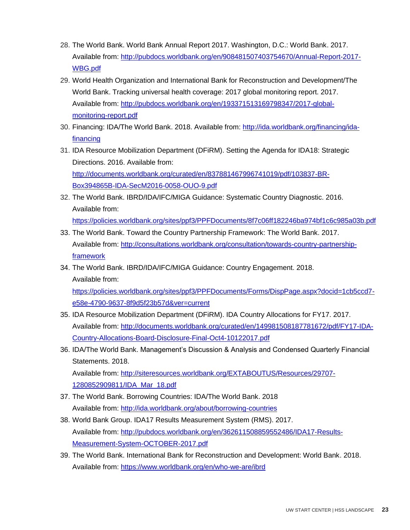- 28. The World Bank. World Bank Annual Report 2017. Washington, D.C.: World Bank. 2017. Available from: [http://pubdocs.worldbank.org/en/908481507403754670/Annual-Report-2017-](http://pubdocs.worldbank.org/en/908481507403754670/Annual-Report-2017-WBG.pdf) [WBG.pdf](http://pubdocs.worldbank.org/en/908481507403754670/Annual-Report-2017-WBG.pdf)
- 29. World Health Organization and International Bank for Reconstruction and Development/The World Bank. Tracking universal health coverage: 2017 global monitoring report. 2017. Available from: [http://pubdocs.worldbank.org/en/193371513169798347/2017-global](http://pubdocs.worldbank.org/en/193371513169798347/2017-global-monitoring-report.pdf)[monitoring-report.pdf](http://pubdocs.worldbank.org/en/193371513169798347/2017-global-monitoring-report.pdf)
- 30. Financing: IDA/The World Bank. 2018. Available from: [http://ida.worldbank.org/financing/ida](http://ida.worldbank.org/financing/ida-financing)[financing](http://ida.worldbank.org/financing/ida-financing)
- 31. IDA Resource Mobilization Department (DFiRM). Setting the Agenda for IDA18: Strategic Directions. 2016. Available from: [http://documents.worldbank.org/curated/en/837881467996741019/pdf/103837-BR-](http://documents.worldbank.org/curated/en/837881467996741019/pdf/103837-BR-Box394865B-IDA-SecM2016-0058-OUO-9.pdf)[Box394865B-IDA-SecM2016-0058-OUO-9.pdf](http://documents.worldbank.org/curated/en/837881467996741019/pdf/103837-BR-Box394865B-IDA-SecM2016-0058-OUO-9.pdf)
- 32. The World Bank. IBRD/IDA/IFC/MIGA Guidance: Systematic Country Diagnostic. 2016. Available from: <https://policies.worldbank.org/sites/ppf3/PPFDocuments/8f7c06ff182246ba974bf1c6c985a03b.pdf>
- 33. The World Bank. Toward the Country Partnership Framework: The World Bank. 2017. Available from: [http://consultations.worldbank.org/consultation/towards-country-partnership](http://consultations.worldbank.org/consultation/towards-country-partnership-framework)[framework](http://consultations.worldbank.org/consultation/towards-country-partnership-framework)
- 34. The World Bank. IBRD/IDA/IFC/MIGA Guidance: Country Engagement. 2018. Available from:

[https://policies.worldbank.org/sites/ppf3/PPFDocuments/Forms/DispPage.aspx?docid=1cb5ccd7](https://policies.worldbank.org/sites/ppf3/PPFDocuments/Forms/DispPage.aspx?docid=1cb5ccd7-e58e-4790-9637-8f9d5f23b57d&ver=current) [e58e-4790-9637-8f9d5f23b57d&ver=current](https://policies.worldbank.org/sites/ppf3/PPFDocuments/Forms/DispPage.aspx?docid=1cb5ccd7-e58e-4790-9637-8f9d5f23b57d&ver=current)

- 35. IDA Resource Mobilization Department (DFiRM). IDA Country Allocations for FY17. 2017. Available from: [http://documents.worldbank.org/curated/en/149981508187781672/pdf/FY17-IDA-](http://documents.worldbank.org/curated/en/149981508187781672/pdf/FY17-IDA-Country-Allocations-Board-Disclosure-Final-Oct4-10122017.pdf)[Country-Allocations-Board-Disclosure-Final-Oct4-10122017.pdf](http://documents.worldbank.org/curated/en/149981508187781672/pdf/FY17-IDA-Country-Allocations-Board-Disclosure-Final-Oct4-10122017.pdf)
- 36. IDA/The World Bank. Management's Discussion & Analysis and Condensed Quarterly Financial Statements. 2018. Available from: [http://siteresources.worldbank.org/EXTABOUTUS/Resources/29707-](http://siteresources.worldbank.org/EXTABOUTUS/Resources/29707-1280852909811/IDA_Mar_18.pdf) [1280852909811/IDA\\_Mar\\_18.pdf](http://siteresources.worldbank.org/EXTABOUTUS/Resources/29707-1280852909811/IDA_Mar_18.pdf)
- 37. The World Bank. Borrowing Countries: IDA/The World Bank. 2018 Available from: http://ida.worldbank.org/about/borrowing-countries
- 38. World Bank Group. IDA17 Results Measurement System (RMS). 2017. Available from: [http://pubdocs.worldbank.org/en/362611508859552486/IDA17-Results-](http://pubdocs.worldbank.org/en/362611508859552486/IDA17-Results-Measurement-System-OCTOBER-2017.pdf)[Measurement-System-OCTOBER-2017.pdf](http://pubdocs.worldbank.org/en/362611508859552486/IDA17-Results-Measurement-System-OCTOBER-2017.pdf)
- 39. The World Bank. International Bank for Reconstruction and Development: World Bank. 2018. Available from:<https://www.worldbank.org/en/who-we-are/ibrd>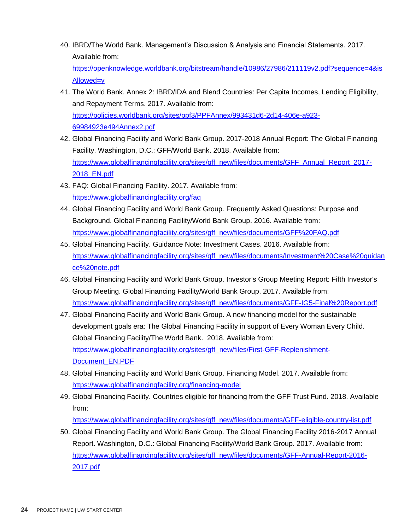40. IBRD/The World Bank. Management's Discussion & Analysis and Financial Statements. 2017. Available from:

[https://openknowledge.worldbank.org/bitstream/handle/10986/27986/211119v2.pdf?sequence=4&is](https://openknowledge.worldbank.org/bitstream/handle/10986/27986/211119v2.pdf?sequence=4&isAllowed=y) [Allowed=y](https://openknowledge.worldbank.org/bitstream/handle/10986/27986/211119v2.pdf?sequence=4&isAllowed=y)

- 41. The World Bank. Annex 2: IBRD/IDA and Blend Countries: Per Capita Incomes, Lending Eligibility, and Repayment Terms. 2017. Available from: [https://policies.worldbank.org/sites/ppf3/PPFAnnex/993431d6-2d14-406e-a923-](https://policies.worldbank.org/sites/ppf3/PPFAnnex/993431d6-2d14-406e-a923-69984923e494Annex2.pdf) [69984923e494Annex2.pdf](https://policies.worldbank.org/sites/ppf3/PPFAnnex/993431d6-2d14-406e-a923-69984923e494Annex2.pdf)
- 42. Global Financing Facility and World Bank Group. 2017-2018 Annual Report: The Global Financing Facility. Washington, D.C.: GFF/World Bank. 2018. Available from: [https://www.globalfinancingfacility.org/sites/gff\\_new/files/documents/GFF\\_Annual\\_Report\\_2017-](https://www.globalfinancingfacility.org/sites/gff_new/files/documents/GFF_Annual_Report_2017-2018_EN.pdf) [2018\\_EN.pdf](https://www.globalfinancingfacility.org/sites/gff_new/files/documents/GFF_Annual_Report_2017-2018_EN.pdf)
- 43. FAQ: Global Financing Facility. 2017. Available from: <https://www.globalfinancingfacility.org/faq>
- 44. Global Financing Facility and World Bank Group. Frequently Asked Questions: Purpose and Background. Global Financing Facility/World Bank Group. 2016. Available from: [https://www.globalfinancingfacility.org/sites/gff\\_new/files/documents/GFF%20FAQ.pdf](https://www.globalfinancingfacility.org/sites/gff_new/files/documents/GFF%20FAQ.pdf)
- 45. Global Financing Facility. Guidance Note: Investment Cases. 2016. Available from: [https://www.globalfinancingfacility.org/sites/gff\\_new/files/documents/Investment%20Case%20guidan](https://www.globalfinancingfacility.org/sites/gff_new/files/documents/Investment%20Case%20guidance%20note.pdf) [ce%20note.pdf](https://www.globalfinancingfacility.org/sites/gff_new/files/documents/Investment%20Case%20guidance%20note.pdf)
- 46. Global Financing Facility and World Bank Group. Investor's Group Meeting Report: Fifth Investor's Group Meeting. Global Financing Facility/World Bank Group. 2017. Available from: [https://www.globalfinancingfacility.org/sites/gff\\_new/files/documents/GFF-IG5-Final%20Report.pdf](https://www.globalfinancingfacility.org/sites/gff_new/files/documents/GFF-IG5-Final%20Report.pdf)
- 47. Global Financing Facility and World Bank Group. A new financing model for the sustainable development goals era: The Global Financing Facility in support of Every Woman Every Child. Global Financing Facility/The World Bank. 2018. Available from: [https://www.globalfinancingfacility.org/sites/gff\\_new/files/First-GFF-Replenishment-](https://www.globalfinancingfacility.org/sites/gff_new/files/First-GFF-Replenishment-Document_EN.PDF)[Document\\_EN.PDF](https://www.globalfinancingfacility.org/sites/gff_new/files/First-GFF-Replenishment-Document_EN.PDF)
- 48. Global Financing Facility and World Bank Group. Financing Model. 2017. Available from: <https://www.globalfinancingfacility.org/financing-model>
- 49. Global Financing Facility. Countries eligible for financing from the GFF Trust Fund. 2018. Available from:

[https://www.globalfinancingfacility.org/sites/gff\\_new/files/documents/GFF-eligible-country-list.pdf](https://www.globalfinancingfacility.org/sites/gff_new/files/documents/GFF-eligible-country-list.pdf)

50. Global Financing Facility and World Bank Group. The Global Financing Facility 2016-2017 Annual Report. Washington, D.C.: Global Financing Facility/World Bank Group. 2017. Available from: [https://www.globalfinancingfacility.org/sites/gff\\_new/files/documents/GFF-Annual-Report-2016-](https://www.globalfinancingfacility.org/sites/gff_new/files/documents/GFF-Annual-Report-2016-2017.pdf) [2017.pdf](https://www.globalfinancingfacility.org/sites/gff_new/files/documents/GFF-Annual-Report-2016-2017.pdf)